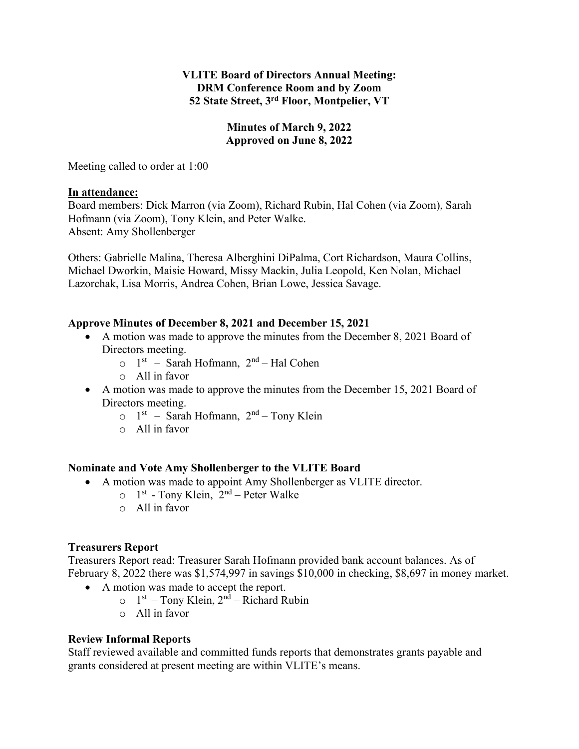## **VLITE Board of Directors Annual Meeting: DRM Conference Room and by Zoom 52 State Street, 3rd Floor, Montpelier, VT**

## **Minutes of March 9, 2022 Approved on June 8, 2022**

Meeting called to order at 1:00

#### **In attendance:**

Board members: Dick Marron (via Zoom), Richard Rubin, Hal Cohen (via Zoom), Sarah Hofmann (via Zoom), Tony Klein, and Peter Walke. Absent: Amy Shollenberger

Others: Gabrielle Malina, Theresa Alberghini DiPalma, Cort Richardson, Maura Collins, Michael Dworkin, Maisie Howard, Missy Mackin, Julia Leopold, Ken Nolan, Michael Lazorchak, Lisa Morris, Andrea Cohen, Brian Lowe, Jessica Savage.

## **Approve Minutes of December 8, 2021 and December 15, 2021**

- A motion was made to approve the minutes from the December 8, 2021 Board of Directors meeting.
	- $\circ$  1<sup>st</sup> Sarah Hofmann, 2<sup>nd</sup> Hal Cohen
	- o All in favor
- A motion was made to approve the minutes from the December 15, 2021 Board of Directors meeting.
	- $\circ$  1<sup>st</sup> Sarah Hofmann, 2<sup>nd</sup> Tony Klein
	- o All in favor

#### **Nominate and Vote Amy Shollenberger to the VLITE Board**

- A motion was made to appoint Amy Shollenberger as VLITE director.
	- $\circ$  1<sup>st</sup> Tony Klein, 2<sup>nd</sup> Peter Walke
	- $\circ$  All in favor

#### **Treasurers Report**

Treasurers Report read: Treasurer Sarah Hofmann provided bank account balances. As of February 8, 2022 there was \$1,574,997 in savings \$10,000 in checking, \$8,697 in money market.

- A motion was made to accept the report.
	- $\circ$  1<sup>st</sup> Tony Klein, 2<sup>nd</sup> Richard Rubin
	- o All in favor

## **Review Informal Reports**

Staff reviewed available and committed funds reports that demonstrates grants payable and grants considered at present meeting are within VLITE's means.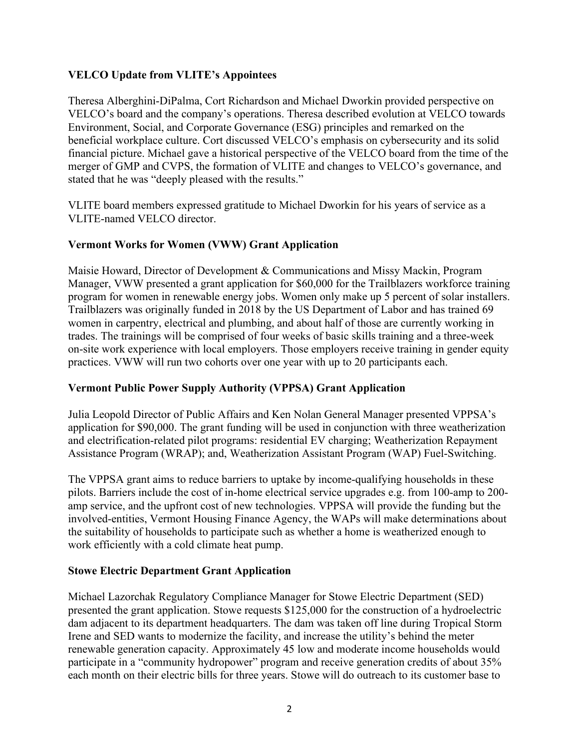## **VELCO Update from VLITE's Appointees**

Theresa Alberghini-DiPalma, Cort Richardson and Michael Dworkin provided perspective on VELCO's board and the company's operations. Theresa described evolution at VELCO towards Environment, Social, and Corporate Governance (ESG) principles and remarked on the beneficial workplace culture. Cort discussed VELCO's emphasis on cybersecurity and its solid financial picture. Michael gave a historical perspective of the VELCO board from the time of the merger of GMP and CVPS, the formation of VLITE and changes to VELCO's governance, and stated that he was "deeply pleased with the results."

VLITE board members expressed gratitude to Michael Dworkin for his years of service as a VLITE-named VELCO director.

# **Vermont Works for Women (VWW) Grant Application**

Maisie Howard, Director of Development & Communications and Missy Mackin, Program Manager, VWW presented a grant application for \$60,000 for the Trailblazers workforce training program for women in renewable energy jobs. Women only make up 5 percent of solar installers. Trailblazers was originally funded in 2018 by the US Department of Labor and has trained 69 women in carpentry, electrical and plumbing, and about half of those are currently working in trades. The trainings will be comprised of four weeks of basic skills training and a three-week on-site work experience with local employers. Those employers receive training in gender equity practices. VWW will run two cohorts over one year with up to 20 participants each.

## **Vermont Public Power Supply Authority (VPPSA) Grant Application**

Julia Leopold Director of Public Affairs and Ken Nolan General Manager presented VPPSA's application for \$90,000. The grant funding will be used in conjunction with three weatherization and electrification-related pilot programs: residential EV charging; Weatherization Repayment Assistance Program (WRAP); and, Weatherization Assistant Program (WAP) Fuel-Switching.

The VPPSA grant aims to reduce barriers to uptake by income-qualifying households in these pilots. Barriers include the cost of in-home electrical service upgrades e.g. from 100-amp to 200 amp service, and the upfront cost of new technologies. VPPSA will provide the funding but the involved-entities, Vermont Housing Finance Agency, the WAPs will make determinations about the suitability of households to participate such as whether a home is weatherized enough to work efficiently with a cold climate heat pump.

## **Stowe Electric Department Grant Application**

Michael Lazorchak Regulatory Compliance Manager for Stowe Electric Department (SED) presented the grant application. Stowe requests \$125,000 for the construction of a hydroelectric dam adjacent to its department headquarters. The dam was taken off line during Tropical Storm Irene and SED wants to modernize the facility, and increase the utility's behind the meter renewable generation capacity. Approximately 45 low and moderate income households would participate in a "community hydropower" program and receive generation credits of about 35% each month on their electric bills for three years. Stowe will do outreach to its customer base to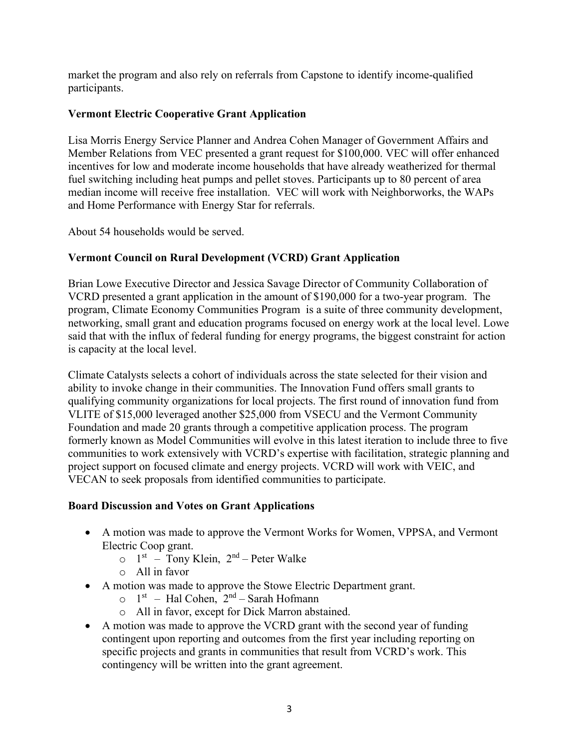market the program and also rely on referrals from Capstone to identify income-qualified participants.

## **Vermont Electric Cooperative Grant Application**

Lisa Morris Energy Service Planner and Andrea Cohen Manager of Government Affairs and Member Relations from VEC presented a grant request for \$100,000. VEC will offer enhanced incentives for low and moderate income households that have already weatherized for thermal fuel switching including heat pumps and pellet stoves. Participants up to 80 percent of area median income will receive free installation. VEC will work with Neighborworks, the WAPs and Home Performance with Energy Star for referrals.

About 54 households would be served.

# **Vermont Council on Rural Development (VCRD) Grant Application**

Brian Lowe Executive Director and Jessica Savage Director of Community Collaboration of VCRD presented a grant application in the amount of \$190,000 for a two-year program. The program, Climate Economy Communities Program is a suite of three community development, networking, small grant and education programs focused on energy work at the local level. Lowe said that with the influx of federal funding for energy programs, the biggest constraint for action is capacity at the local level.

Climate Catalysts selects a cohort of individuals across the state selected for their vision and ability to invoke change in their communities. The Innovation Fund offers small grants to qualifying community organizations for local projects. The first round of innovation fund from VLITE of \$15,000 leveraged another \$25,000 from VSECU and the Vermont Community Foundation and made 20 grants through a competitive application process. The program formerly known as Model Communities will evolve in this latest iteration to include three to five communities to work extensively with VCRD's expertise with facilitation, strategic planning and project support on focused climate and energy projects. VCRD will work with VEIC, and VECAN to seek proposals from identified communities to participate.

## **Board Discussion and Votes on Grant Applications**

- A motion was made to approve the Vermont Works for Women, VPPSA, and Vermont Electric Coop grant.
	- $\circ$  1<sup>st</sup> Tony Klein, 2<sup>nd</sup> Peter Walke
	- o All in favor
- A motion was made to approve the Stowe Electric Department grant.
	- $\circ$  1<sup>st</sup> Hal Cohen, 2<sup>nd</sup> Sarah Hofmann
	- o All in favor, except for Dick Marron abstained.
- A motion was made to approve the VCRD grant with the second year of funding contingent upon reporting and outcomes from the first year including reporting on specific projects and grants in communities that result from VCRD's work. This contingency will be written into the grant agreement.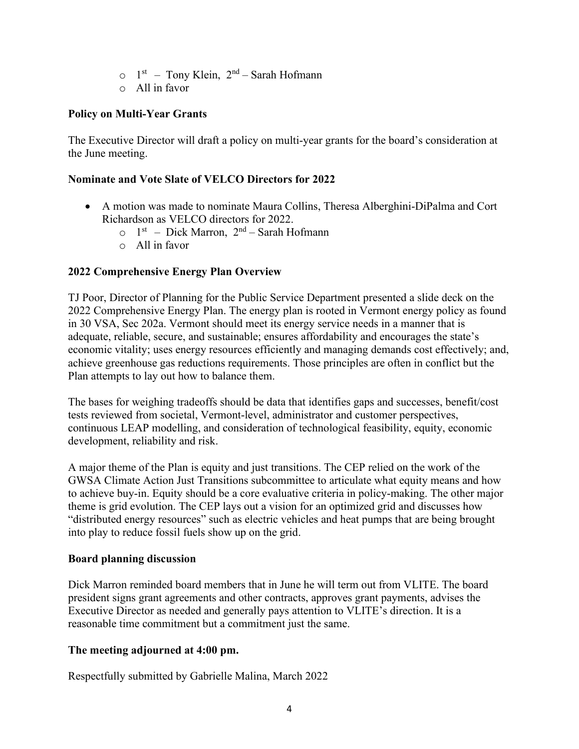- $\circ$  1<sup>st</sup> Tony Klein, 2<sup>nd</sup> Sarah Hofmann
- $\circ$  All in favor

#### **Policy on Multi-Year Grants**

The Executive Director will draft a policy on multi-year grants for the board's consideration at the June meeting.

#### **Nominate and Vote Slate of VELCO Directors for 2022**

- A motion was made to nominate Maura Collins, Theresa Alberghini-DiPalma and Cort Richardson as VELCO directors for 2022.
	- $\circ$  1<sup>st</sup> Dick Marron, 2<sup>nd</sup> Sarah Hofmann
	- o All in favor

#### **2022 Comprehensive Energy Plan Overview**

TJ Poor, Director of Planning for the Public Service Department presented a slide deck on the 2022 Comprehensive Energy Plan. The energy plan is rooted in Vermont energy policy as found in 30 VSA, Sec 202a. Vermont should meet its energy service needs in a manner that is adequate, reliable, secure, and sustainable; ensures affordability and encourages the state's economic vitality; uses energy resources efficiently and managing demands cost effectively; and, achieve greenhouse gas reductions requirements. Those principles are often in conflict but the Plan attempts to lay out how to balance them.

The bases for weighing tradeoffs should be data that identifies gaps and successes, benefit/cost tests reviewed from societal, Vermont-level, administrator and customer perspectives, continuous LEAP modelling, and consideration of technological feasibility, equity, economic development, reliability and risk.

A major theme of the Plan is equity and just transitions. The CEP relied on the work of the GWSA Climate Action Just Transitions subcommittee to articulate what equity means and how to achieve buy-in. Equity should be a core evaluative criteria in policy-making. The other major theme is grid evolution. The CEP lays out a vision for an optimized grid and discusses how "distributed energy resources" such as electric vehicles and heat pumps that are being brought into play to reduce fossil fuels show up on the grid.

#### **Board planning discussion**

Dick Marron reminded board members that in June he will term out from VLITE. The board president signs grant agreements and other contracts, approves grant payments, advises the Executive Director as needed and generally pays attention to VLITE's direction. It is a reasonable time commitment but a commitment just the same.

## **The meeting adjourned at 4:00 pm.**

Respectfully submitted by Gabrielle Malina, March 2022